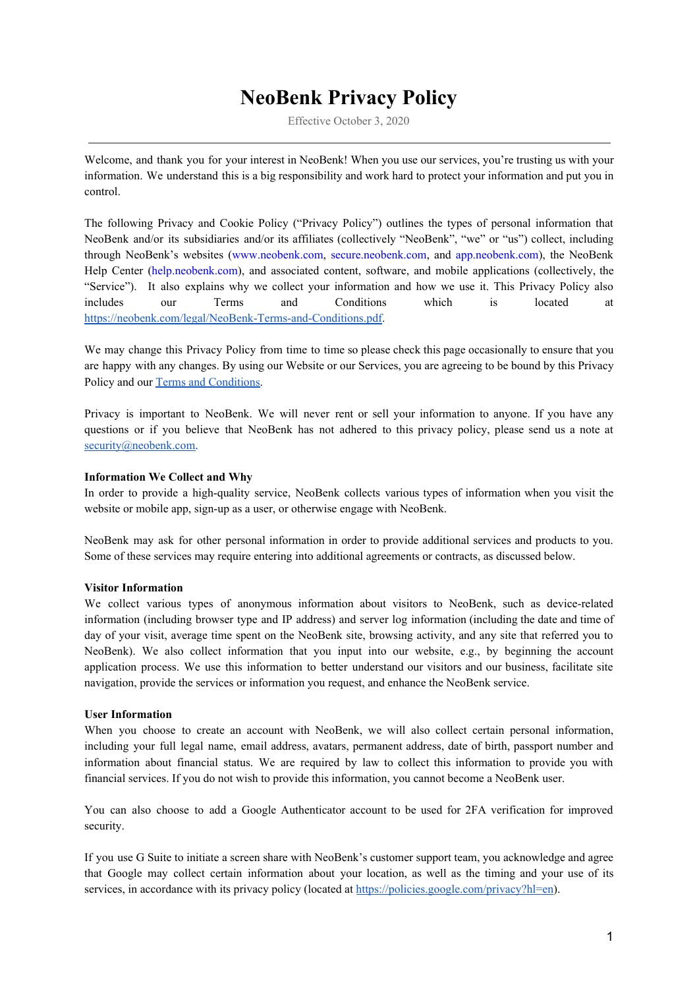# **NeoBenk Privacy Policy**

Effective October 3, 2020

Welcome, and thank you for your interest in NeoBenk! When you use our services, you're trusting us with your information. We understand this is a big responsibility and work hard to protect your information and put you in control.

The following Privacy and Cookie Policy ("Privacy Policy") outlines the types of personal information that NeoBenk and/or its subsidiaries and/or its affiliates (collectively "NeoBenk", "we" or "us") collect, including through NeoBenk's websites (www.neobenk.com, secure.neobenk.com, and app.neobenk.com), the NeoBenk Help Center (help.neobenk.com), and associated content, software, and mobile applications (collectively, the "Service"). It also explains why we collect your information and how we use it. This Privacy Policy also includes our Terms and Conditions which is located at <https://neobenk.com/legal/NeoBenk-Terms-and-Conditions.pdf>.

We may change this Privacy Policy from time to time so please check this page occasionally to ensure that you are happy with any changes. By using our Website or our Services, you are agreeing to be bound by this Privacy Policy and our Terms and [Conditions.](https://neobenk.com/legal/NeoBenk-Terms-and-Conditions.pdf)

Privacy is important to NeoBenk. We will never rent or sell your information to anyone. If you have any questions or if you believe that NeoBenk has not adhered to this privacy policy, please send us a note at [security@neobenk.com.](mailto:security@neobenk.com)

## **Information We Collect and Why**

In order to provide a high-quality service, NeoBenk collects various types of information when you visit the website or mobile app, sign-up as a user, or otherwise engage with NeoBenk.

NeoBenk may ask for other personal information in order to provide additional services and products to you. Some of these services may require entering into additional agreements or contracts, as discussed below.

## **Visitor Information**

We collect various types of anonymous information about visitors to NeoBenk, such as device-related information (including browser type and IP address) and server log information (including the date and time of day of your visit, average time spent on the NeoBenk site, browsing activity, and any site that referred you to NeoBenk). We also collect information that you input into our website, e.g., by beginning the account application process. We use this information to better understand our visitors and our business, facilitate site navigation, provide the services or information you request, and enhance the NeoBenk service.

## **User Information**

When you choose to create an account with NeoBenk, we will also collect certain personal information, including your full legal name, email address, avatars, permanent address, date of birth, passport number and information about financial status. We are required by law to collect this information to provide you with financial services. If you do not wish to provide this information, you cannot become a NeoBenk user.

You can also choose to add a Google Authenticator account to be used for 2FA verification for improved security.

If you use G Suite to initiate a screen share with NeoBenk's customer support team, you acknowledge and agree that Google may collect certain information about your location, as well as the timing and your use of its services, in accordance with its privacy policy (located at <https://policies.google.com/privacy?hl=en>).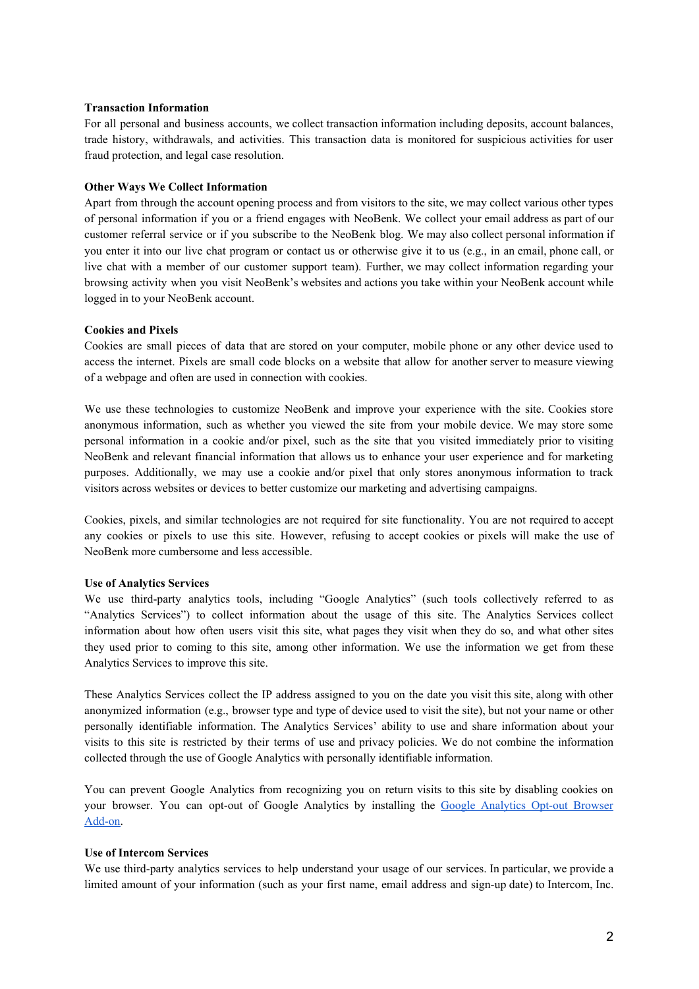## **Transaction Information**

For all personal and business accounts, we collect transaction information including deposits, account balances, trade history, withdrawals, and activities. This transaction data is monitored for suspicious activities for user fraud protection, and legal case resolution.

## **Other Ways We Collect Information**

Apart from through the account opening process and from visitors to the site, we may collect various other types of personal information if you or a friend engages with NeoBenk. We collect your email address as part of our customer referral service or if you subscribe to the NeoBenk blog. We may also collect personal information if you enter it into our live chat program or contact us or otherwise give it to us (e.g., in an email, phone call, or live chat with a member of our customer support team). Further, we may collect information regarding your browsing activity when you visit NeoBenk's websites and actions you take within your NeoBenk account while logged in to your NeoBenk account.

## **Cookies and Pixels**

Cookies are small pieces of data that are stored on your computer, mobile phone or any other device used to access the internet. Pixels are small code blocks on a website that allow for another server to measure viewing of a webpage and often are used in connection with cookies.

We use these technologies to customize NeoBenk and improve your experience with the site. Cookies store anonymous information, such as whether you viewed the site from your mobile device. We may store some personal information in a cookie and/or pixel, such as the site that you visited immediately prior to visiting NeoBenk and relevant financial information that allows us to enhance your user experience and for marketing purposes. Additionally, we may use a cookie and/or pixel that only stores anonymous information to track visitors across websites or devices to better customize our marketing and advertising campaigns.

Cookies, pixels, and similar technologies are not required for site functionality. You are not required to accept any cookies or pixels to use this site. However, refusing to accept cookies or pixels will make the use of NeoBenk more cumbersome and less accessible.

## **Use of Analytics Services**

We use third-party analytics tools, including "Google Analytics" (such tools collectively referred to as "Analytics Services") to collect information about the usage of this site. The Analytics Services collect information about how often users visit this site, what pages they visit when they do so, and what other sites they used prior to coming to this site, among other information. We use the information we get from these Analytics Services to improve this site.

These Analytics Services collect the IP address assigned to you on the date you visit this site, along with other anonymized information (e.g., browser type and type of device used to visit the site), but not your name or other personally identifiable information. The Analytics Services' ability to use and share information about your visits to this site is restricted by their terms of use and privacy policies. We do not combine the information collected through the use of Google Analytics with personally identifiable information.

You can prevent Google Analytics from recognizing you on return visits to this site by disabling cookies on your browser. You can opt-out of Google [Analytics](https://tools.google.com/dlpage/gaoptout) by installing the Google Analytics Opt-out Browser [Add-on.](https://tools.google.com/dlpage/gaoptout)

## **Use of Intercom Services**

We use third-party analytics services to help understand your usage of our services. In particular, we provide a limited amount of your information (such as your first name, email address and sign-up date) to Intercom, Inc.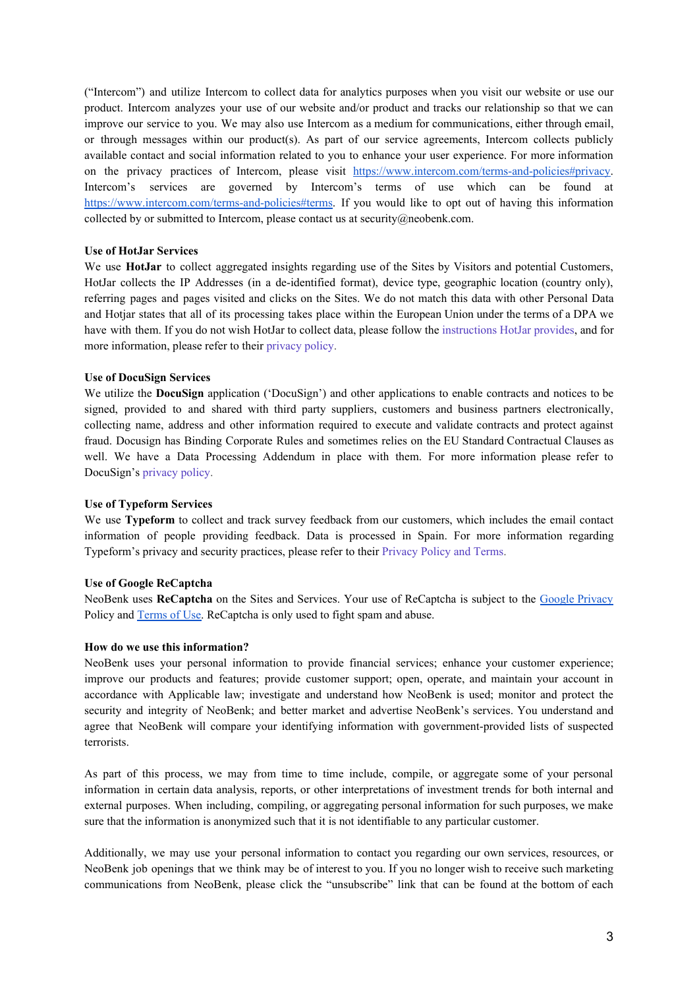("Intercom") and utilize Intercom to collect data for analytics purposes when you visit our website or use our product. Intercom analyzes your use of our website and/or product and tracks our relationship so that we can improve our service to you. We may also use Intercom as a medium for communications, either through email, or through messages within our product(s). As part of our service agreements, Intercom collects publicly available contact and social information related to you to enhance your user experience. For more information on the privacy practices of Intercom, please visit [https://www.intercom.com/terms-and-policies#privacy.](https://www.intercom.com/terms-and-policies#privacy) Intercom's services are governed by Intercom's terms of use which can be found at [https://www.intercom.com/terms-and-policies#terms.](https://www.intercom.com/terms-and-policies#terms) If you would like to opt out of having this information collected by or submitted to Intercom, please contact us at security@neobenk.com.

## **Use of HotJar Services**

We use **HotJar** to collect aggregated insights regarding use of the Sites by Visitors and potential Customers, HotJar collects the IP Addresses (in a de-identified format), device type, geographic location (country only), referring pages and pages visited and clicks on the Sites. We do not match this data with other Personal Data and Hotjar states that all of its processing takes place within the European Union under the terms of a DPA we have with them. If you do not wish HotJar to collect data, please follow the [instructions](https://help.hotjar.com/hc/en-us/articles/360002735873-How-to-Stop-Hotjar-From-Collecting-your-Data) HotJar provides, and for more information, please refer to their [privacy](https://www.hotjar.com/legal/policies/privacy/) policy.

#### **Use of DocuSign Services**

We utilize the **DocuSign** application ('DocuSign') and other applications to enable contracts and notices to be signed, provided to and shared with third party suppliers, customers and business partners electronically, collecting name, address and other information required to execute and validate contracts and protect against fraud. Docusign has Binding Corporate Rules and sometimes relies on the EU Standard Contractual Clauses as well. We have a Data Processing Addendum in place with them. For more information please refer to DocuSign's [privacy](https://www.docusign.com/company/privacy-policy) policy.

#### **Use of Typeform Services**

We use **Typeform** to collect and track survey feedback from our customers, which includes the email contact information of people providing feedback. Data is processed in Spain. For more information regarding Typeform's privacy and security practices, please refer to their [Privacy](https://admin.typeform.com/to/dwk6gt) Policy and Terms.

#### **Use of Google ReCaptcha**

NeoBenk uses **ReCaptcha** on the Sites and Services. Your use of ReCaptcha is subject to the Google [Privacy](https://www.google.com/intl/en/policies/privacy/) Policy and **[Terms](https://www.google.com/intl/en/policies/terms/)** of Use. ReCaptcha is only used to fight spam and abuse.

## **How do we use this information?**

NeoBenk uses your personal information to provide financial services; enhance your customer experience; improve our products and features; provide customer support; open, operate, and maintain your account in accordance with Applicable law; investigate and understand how NeoBenk is used; monitor and protect the security and integrity of NeoBenk; and better market and advertise NeoBenk's services. You understand and agree that NeoBenk will compare your identifying information with government-provided lists of suspected terrorists.

As part of this process, we may from time to time include, compile, or aggregate some of your personal information in certain data analysis, reports, or other interpretations of investment trends for both internal and external purposes. When including, compiling, or aggregating personal information for such purposes, we make sure that the information is anonymized such that it is not identifiable to any particular customer.

Additionally, we may use your personal information to contact you regarding our own services, resources, or NeoBenk job openings that we think may be of interest to you. If you no longer wish to receive such marketing communications from NeoBenk, please click the "unsubscribe" link that can be found at the bottom of each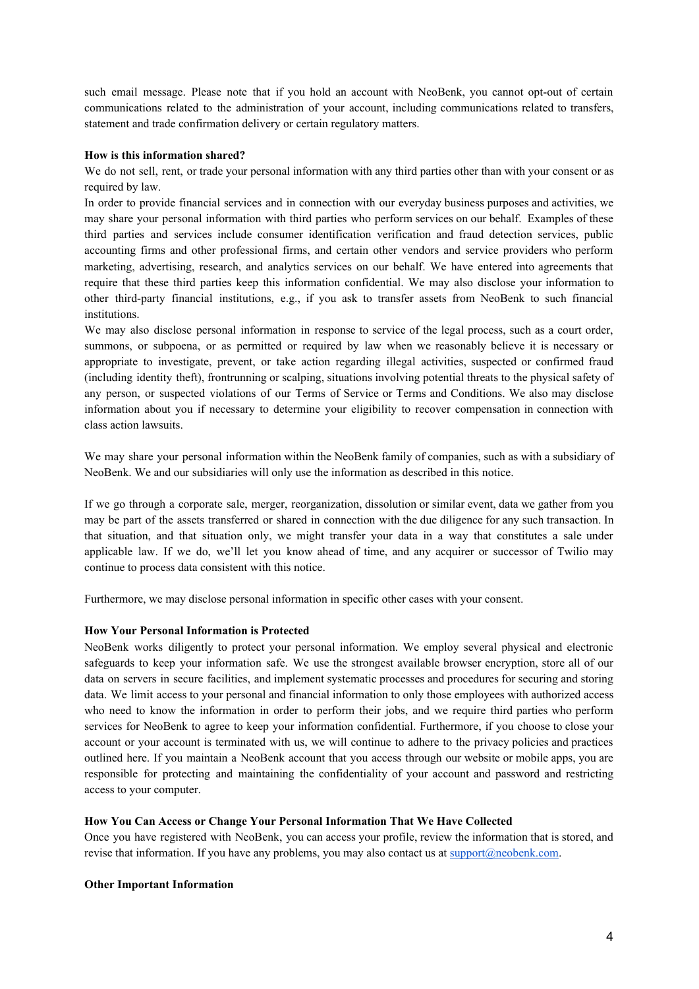such email message. Please note that if you hold an account with NeoBenk, you cannot opt-out of certain communications related to the administration of your account, including communications related to transfers, statement and trade confirmation delivery or certain regulatory matters.

## **How is this information shared?**

We do not sell, rent, or trade your personal information with any third parties other than with your consent or as required by law.

In order to provide financial services and in connection with our everyday business purposes and activities, we may share your personal information with third parties who perform services on our behalf. Examples of these third parties and services include consumer identification verification and fraud detection services, public accounting firms and other professional firms, and certain other vendors and service providers who perform marketing, advertising, research, and analytics services on our behalf. We have entered into agreements that require that these third parties keep this information confidential. We may also disclose your information to other third-party financial institutions, e.g., if you ask to transfer assets from NeoBenk to such financial institutions.

We may also disclose personal information in response to service of the legal process, such as a court order, summons, or subpoena, or as permitted or required by law when we reasonably believe it is necessary or appropriate to investigate, prevent, or take action regarding illegal activities, suspected or confirmed fraud (including identity theft), frontrunning or scalping, situations involving potential threats to the physical safety of any person, or suspected violations of our Terms of Service or Terms and Conditions. We also may disclose information about you if necessary to determine your eligibility to recover compensation in connection with class action lawsuits.

We may share your personal information within the NeoBenk family of companies, such as with a subsidiary of NeoBenk. We and our subsidiaries will only use the information as described in this notice.

If we go through a corporate sale, merger, reorganization, dissolution or similar event, data we gather from you may be part of the assets transferred or shared in connection with the due diligence for any such transaction. In that situation, and that situation only, we might transfer your data in a way that constitutes a sale under applicable law. If we do, we'll let you know ahead of time, and any acquirer or successor of Twilio may continue to process data consistent with this notice.

Furthermore, we may disclose personal information in specific other cases with your consent.

## **How Your Personal Information is Protected**

NeoBenk works diligently to protect your personal information. We employ several physical and electronic safeguards to keep your information safe. We use the strongest available browser encryption, store all of our data on servers in secure facilities, and implement systematic processes and procedures for securing and storing data. We limit access to your personal and financial information to only those employees with authorized access who need to know the information in order to perform their jobs, and we require third parties who perform services for NeoBenk to agree to keep your information confidential. Furthermore, if you choose to close your account or your account is terminated with us, we will continue to adhere to the privacy policies and practices outlined here. If you maintain a NeoBenk account that you access through our website or mobile apps, you are responsible for protecting and maintaining the confidentiality of your account and password and restricting access to your computer.

## **How You Can Access or Change Your Personal Information That We Have Collected**

Once you have registered with NeoBenk, you can access your profile, review the information that is stored, and revise that information. If you have any problems, you may also contact us at [support@neobenk.com.](mailto:support@neobenk.com)

#### **Other Important Information**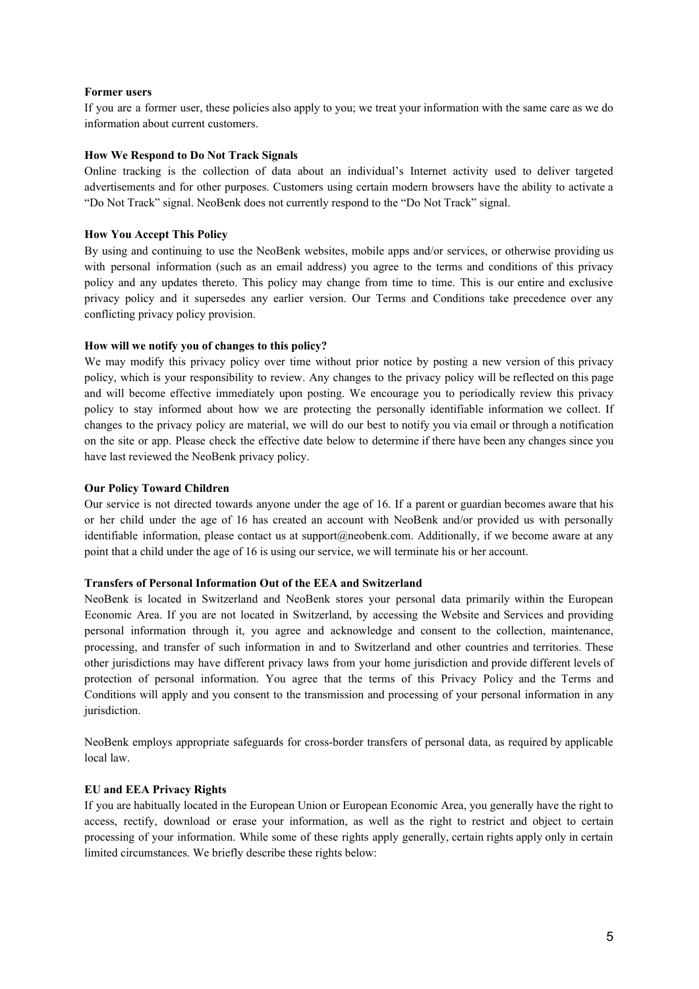## **Former users**

If you are a former user, these policies also apply to you; we treat your information with the same care as we do information about current customers.

## **How We Respond to Do Not Track Signals**

Online tracking is the collection of data about an individual's Internet activity used to deliver targeted advertisements and for other purposes. Customers using certain modern browsers have the ability to activate a "Do Not Track" signal. NeoBenk does not currently respond to the "Do Not Track" signal.

## **How You Accept This Policy**

By using and continuing to use the NeoBenk websites, mobile apps and/or services, or otherwise providing us with personal information (such as an email address) you agree to the terms and conditions of this privacy policy and any updates thereto. This policy may change from time to time. This is our entire and exclusive privacy policy and it supersedes any earlier version. Our Terms and Conditions take precedence over any conflicting privacy policy provision.

## **How will we notify you of changes to this policy?**

We may modify this privacy policy over time without prior notice by posting a new version of this privacy policy, which is your responsibility to review. Any changes to the privacy policy will be reflected on this page and will become effective immediately upon posting. We encourage you to periodically review this privacy policy to stay informed about how we are protecting the personally identifiable information we collect. If changes to the privacy policy are material, we will do our best to notify you via email or through a notification on the site or app. Please check the effective date below to determine if there have been any changes since you have last reviewed the NeoBenk privacy policy.

## **Our Policy Toward Children**

Our service is not directed towards anyone under the age of 16. If a parent or guardian becomes aware that his or her child under the age of 16 has created an account with NeoBenk and/or provided us with personally identifiable information, please contact us at support@neobenk.com. Additionally, if we become aware at any point that a child under the age of 16 is using our service, we will terminate his or her account.

#### **Transfers of Personal Information Out of the EEA and Switzerland**

NeoBenk is located in Switzerland and NeoBenk stores your personal data primarily within the European Economic Area. If you are not located in Switzerland, by accessing the Website and Services and providing personal information through it, you agree and acknowledge and consent to the collection, maintenance, processing, and transfer of such information in and to Switzerland and other countries and territories. These other jurisdictions may have different privacy laws from your home jurisdiction and provide different levels of protection of personal information. You agree that the terms of this Privacy Policy and the Terms and Conditions will apply and you consent to the transmission and processing of your personal information in any jurisdiction.

NeoBenk employs appropriate safeguards for cross-border transfers of personal data, as required by applicable local law.

## **EU and EEA Privacy Rights**

If you are habitually located in the European Union or European Economic Area, you generally have the right to access, rectify, download or erase your information, as well as the right to restrict and object to certain processing of your information. While some of these rights apply generally, certain rights apply only in certain limited circumstances. We briefly describe these rights below: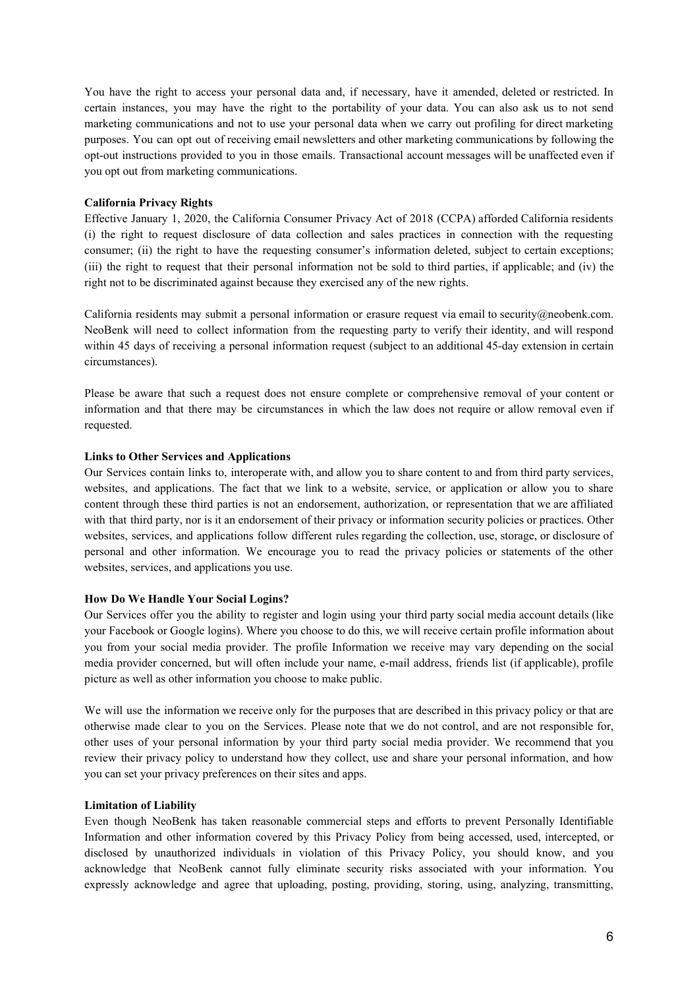You have the right to access your personal data and, if necessary, have it amended, deleted or restricted. In certain instances, you may have the right to the portability of your data. You can also ask us to not send marketing communications and not to use your personal data when we carry out profiling for direct marketing purposes. You can opt out of receiving email newsletters and other marketing communications by following the opt-out instructions provided to you in those emails. Transactional account messages will be unaffected even if you opt out from marketing communications.

## **California Privacy Rights**

Effective January 1, 2020, the California Consumer Privacy Act of 2018 (CCPA) afforded California residents (i) the right to request disclosure of data collection and sales practices in connection with the requesting consumer; (ii) the right to have the requesting consumer's information deleted, subject to certain exceptions; (iii) the right to request that their personal information not be sold to third parties, if applicable; and (iv) the right not to be discriminated against because they exercised any of the new rights.

California residents may submit a personal information or erasure request via email to security@neobenk.com. NeoBenk will need to collect information from the requesting party to verify their identity, and will respond within 45 days of receiving a personal information request (subject to an additional 45-day extension in certain circumstances).

Please be aware that such a request does not ensure complete or comprehensive removal of your content or information and that there may be circumstances in which the law does not require or allow removal even if requested.

#### **Links to Other Services and Applications**

Our Services contain links to, interoperate with, and allow you to share content to and from third party services, websites, and applications. The fact that we link to a website, service, or application or allow you to share content through these third parties is not an endorsement, authorization, or representation that we are affiliated with that third party, nor is it an endorsement of their privacy or information security policies or practices. Other websites, services, and applications follow different rules regarding the collection, use, storage, or disclosure of personal and other information. We encourage you to read the privacy policies or statements of the other websites, services, and applications you use.

#### **How Do We Handle Your Social Logins?**

Our Services offer you the ability to register and login using your third party social media account details (like your Facebook or Google logins). Where you choose to do this, we will receive certain profile information about you from your social media provider. The profile Information we receive may vary depending on the social media provider concerned, but will often include your name, e-mail address, friends list (if applicable), profile picture as well as other information you choose to make public.

We will use the information we receive only for the purposes that are described in this privacy policy or that are otherwise made clear to you on the Services. Please note that we do not control, and are not responsible for, other uses of your personal information by your third party social media provider. We recommend that you review their privacy policy to understand how they collect, use and share your personal information, and how you can set your privacy preferences on their sites and apps.

## **Limitation of Liability**

Even though NeoBenk has taken reasonable commercial steps and efforts to prevent Personally Identifiable Information and other information covered by this Privacy Policy from being accessed, used, intercepted, or disclosed by unauthorized individuals in violation of this Privacy Policy, you should know, and you acknowledge that NeoBenk cannot fully eliminate security risks associated with your information. You expressly acknowledge and agree that uploading, posting, providing, storing, using, analyzing, transmitting,